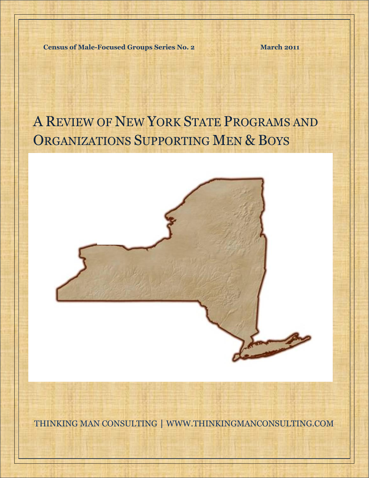**Census of Male-Focused Groups Series No. 2 March 2011** 

# A REVIEW OF NEW YORK STATE PROGRAMS AND ORGANIZATIONS SUPPORTING MEN & BOYS

A Review of New York State Programs and Organizations Supporting Men & Boys



THINKING MAN CONSULTING | WWW.THINKINGMANCONSULTING.COM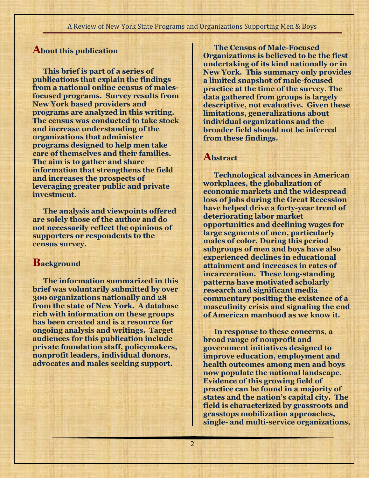# **About this publication**

**This brief is part of a series of publications that explain the findings from a national online census of malesfocused programs. Survey results from New York based providers and programs are analyzed in this writing. The census was conducted to take stock and increase understanding of the organizations that administer programs designed to help men take care of themselves and their families. The aim is to gather and share information that strengthens the field and increases the prospects of leveraging greater public and private investment.**

**The analysis and viewpoints offered are solely those of the author and do not necessarily reflect the opinions of supporters or respondents to the census survey.** 

# **Background**

**The information summarized in this brief was voluntarily submitted by over 300 organizations nationally and 28 from the state of New York. A database rich with information on these groups has been created and is a resource for ongoing analysis and writings. Target audiences for this publication include private foundation staff, policymakers, nonprofit leaders, individual donors, advocates and males seeking support.** 

**The Census of Male-Focused Organizations is believed to be the first undertaking of its kind nationally or in New York. This summary only provides a limited snapshot of male-focused practice at the time of the survey. The data gathered from groups is largely descriptive, not evaluative. Given these limitations, generalizations about individual organizations and the broader field should not be inferred from these findings.**

# **Abstract**

2

**Technological advances in American workplaces, the globalization of economic markets and the widespread loss of jobs during the Great Recession have helped drive a forty-year trend of deteriorating labor market opportunities and declining wages for large segments of men, particularly males of color. During this period subgroups of men and boys have also experienced declines in educational attainment and increases in rates of incarceration. These long-standing patterns have motivated scholarly research and significant media commentary positing the existence of a masculinity crisis and signaling the end of American manhood as we know it.** 

**In response to these concerns, a broad range of nonprofit and government initiatives designed to improve education, employment and health outcomes among men and boys now populate the national landscape. Evidence of this growing field of practice can be found in a majority of states and the nation's capital city. The field is characterized by grassroots and grasstops mobilization approaches, single- and multi-service organizations,**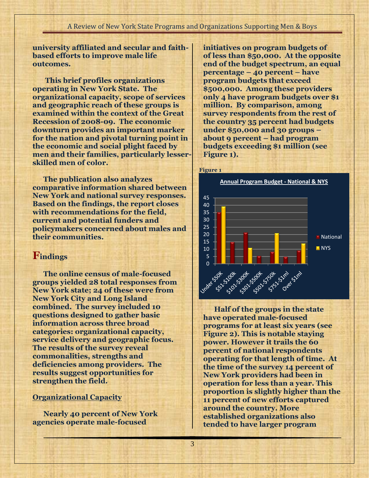**university affiliated and secular and faithbased efforts to improve male life outcomes.** 

**This brief profiles organizations operating in New York State. The organizational capacity, scope of services and geographic reach of these groups is examined within the context of the Great Recession of 2008-09. The economic downturn provides an important marker for the nation and pivotal turning point in the economic and social plight faced by men and their families, particularly lesserskilled men of color.** 

**The publication also analyzes comparative information shared between New York and national survey responses. Based on the findings, the report closes with recommendations for the field, current and potential funders and policymakers concerned about males and their communities.** 

# **Findings**

**The online census of male-focused groups yielded 28 total responses from New York state; 24 of these were from New York City and Long Island combined. The survey included 10 questions designed to gather basic information across three broad categories: organizational capacity, service delivery and geographic focus. The results of the survey reveal commonalities, strengths and deficiencies among providers. The results suggest opportunities for strengthen the field.** 

### **Organizational Capacity**

**Nearly 40 percent of New York agencies operate male-focused** 

**initiatives on program budgets of of less than \$50,000. At the opposite end of the budget spectrum, an equal percentage – 40 percent – have program budgets that exceed \$500,000. Among these providers only 4 have program budgets over \$1 million. By comparison, among survey respondents from the rest of the country 35 percent had budgets under \$50,000 and 30 groups – about 9 percent – had program budgets exceeding \$1 million (see Figure 1).** 



**Half of the groups in the state have operated male-focused programs for at least six years (see Figure 2). This is notable staying power. However it trails the 60 percent of national respondents operating for that length of time. At the time of the survey 14 percent of New York providers had been in operation for less than a year. This proportion is slightly higher than the 11 percent of new efforts captured around the country. More established organizations also tended to have larger program**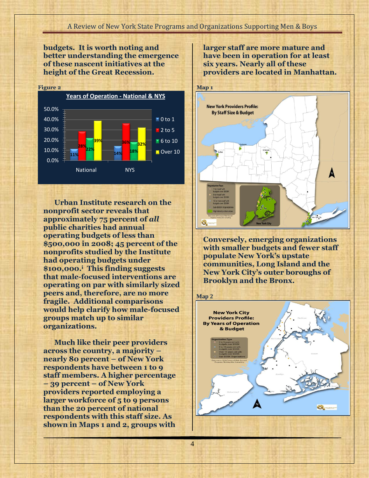4

**budgets. It is worth noting and better understanding the emergence of these nascent initiatives at the height of the Great Recession.** 



**Urban Institute research on the nonprofit sector reveals that approximately 75 percent of** *all* **public charities had annual operating budgets of less than \$500,000 in 2008; 45 percent of the nonprofits studied by the Institute had operating budgets under \$100,000.<sup>i</sup> This finding suggests that male-focused interventions are operating on par with similarly sized peers and, therefore, are no more fragile. Additional comparisons would help clarify how male-focused groups match up to similar organizations.**

**Much like their peer providers across the country, a majority – nearly 80 percent – of New York respondents have between 1 to 9 staff members. A higher percentage – 39 percent – of New York providers reported employing a larger workforce of 5 to 9 persons than the 20 percent of national respondents with this staff size. As shown in Maps 1 and 2, groups with** 

**larger staff are more mature and have been in operation for at least six years. Nearly all of these providers are located in Manhattan.** 



**Conversely, emerging organizations with smaller budgets and fewer staff populate New York's upstate communities, Long Island and the New York City's outer boroughs of Brooklyn and the Bronx.** 

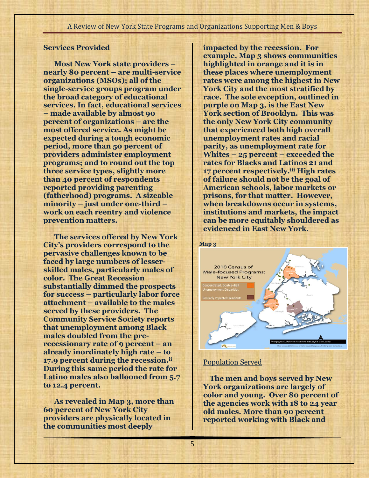## **Services Provided**

**Most New York state providers – nearly 80 percent – are multi-service organizations (MSOs); all of the single-service groups program under the broad category of educational services. In fact, educational services – made available by almost 90 percent of organizations – are the most offered service. As might be expected during a tough economic period, more than 50 percent of providers administer employment programs; and to round out the top three service types, slightly more than 40 percent of respondents reported providing parenting (fatherhood) programs. A sizeable minority – just under one-third – work on each reentry and violence prevention matters.**

**The services offered by New York City's providers correspond to the pervasive challenges known to be faced by large numbers of lesserskilled males, particularly males of color. The Great Recession substantially dimmed the prospects for success – particularly labor force attachment – available to the males served by these providers. The Community Service Society reports that unemployment among Black males doubled from the prerecessionary rate of 9 percent – an already inordinately high rate – to 17.9 percent during the recession.ii During this same period the rate for Latino males also ballooned from 5.7 to 12.4 percent.** 

**As revealed in Map 3, more than 60 percent of New York City providers are physically located in the communities most deeply** 

**impacted by the recession. For example, Map 3 shows communities highlighted in orange and it is in these places where unemployment rates were among the highest in New York City and the most stratified by race. The sole exception, outlined in purple on Map 3, is the East New York section of Brooklyn. This was the only New York City community that experienced both high overall unemployment rates and racial parity, as unemployment rate for Whites – 25 percent – exceeded the rates for Blacks and Latinos 21 and 17 percent respectively.iii High rates of failure should not be the goal of American schools, labor markets or prisons, for that matter. However, when breakdowns occur in systems, institutions and markets, the impact can be more equitably shouldered as evidenced in East New York.** 



## Population Served

5

 **The men and boys served by New York organizations are largely of color and young. Over 80 percent of the agencies work with 18 to 24 year old males. More than 90 percent reported working with Black and**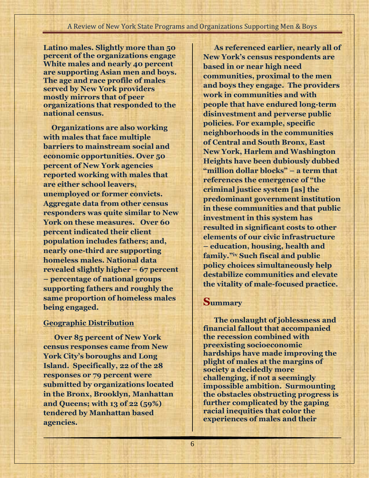**Latino males. Slightly more than 50 percent of the organizations engage White males and nearly 40 percent are supporting Asian men and boys. The age and race profile of males served by New York providers mostly mirrors that of peer organizations that responded to the national census.** 

**Organizations are also working with males that face multiple barriers to mainstream social and economic opportunities. Over 50 percent of New York agencies reported working with males that are either school leavers, unemployed or former convicts. Aggregate data from other census responders was quite similar to New York on these measures. Over 60 percent indicated their client population includes fathers; and, nearly one-third are supporting homeless males. National data revealed slightly higher – 67 percent – percentage of national groups supporting fathers and roughly the same proportion of homeless males being engaged.** 

## **Geographic Distribution**

**Over 85 percent of New York census responses came from New York City's boroughs and Long Island. Specifically, 22 of the 28 responses or 79 percent were submitted by organizations located in the Bronx, Brooklyn, Manhattan and Queens; with 13 of 22 (59%) tendered by Manhattan based agencies.** 

**As referenced earlier, nearly all of New York's census respondents are based in or near high need communities, proximal to the men and boys they engage. The providers work in communities and with people that have endured long-term disinvestment and perverse public policies. For example, specific neighborhoods in the communities of Central and South Bronx, East New York, Harlem and Washington Heights have been dubiously dubbed "million dollar blocks" – a term that references the emergence of "the criminal justice system [as] the predominant government institution in these communities and that public investment in this system has resulted in significant costs to other elements of our civic infrastructure – education, housing, health and family."iv Such fiscal and public policy choices simultaneously help destabilize communities and elevate the vitality of male-focused practice.**

## **Summary**

**The onslaught of joblessness and financial fallout that accompanied the recession combined with preexisting socioeconomic hardships have made improving the plight of males at the margins of society a decidedly more challenging, if not a seemingly impossible ambition. Surmounting the obstacles obstructing progress is further complicated by the gaping racial inequities that color the experiences of males and their**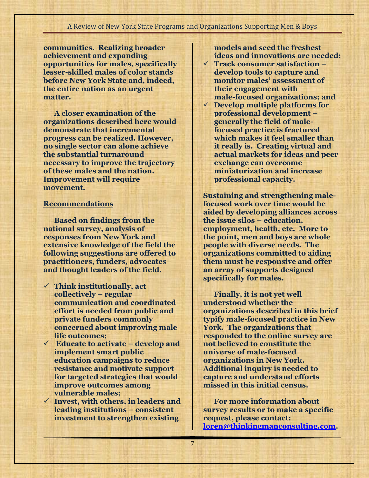**communities. Realizing broader achievement and expanding opportunities for males, specifically lesser-skilled males of color stands before New York State and, indeed, the entire nation as an urgent matter.** 

**A closer examination of the organizations described here would demonstrate that incremental progress can be realized. However, no single sector can alone achieve the substantial turnaround necessary to improve the trajectory of these males and the nation. Improvement will require movement.** 

## **Recommendations**

**Based on findings from the national survey, analysis of responses from New York and extensive knowledge of the field the following suggestions are offered to practitioners, funders, advocates and thought leaders of the field.**

- **Think institutionally, act collectively – regular communication and coordinated effort is needed from public and private funders commonly concerned about improving male life outcomes;**
- **Educate to activate – develop and implement smart public education campaigns to reduce resistance and motivate support for targeted strategies that would improve outcomes among vulnerable males;**
- **Invest, with others, in leaders and leading institutions – consistent investment to strengthen existing**

**models and seed the freshest ideas and innovations are needed;**

- **Track consumer satisfaction – develop tools to capture and monitor males' assessment of their engagement with male-focused organizations; and**
- **Develop multiple platforms for professional development – generally the field of malefocused practice is fractured which makes it feel smaller than it really is. Creating virtual and actual markets for ideas and peer exchange can overcome miniaturization and increase professional capacity.**

**Sustaining and strengthening malefocused work over time would be aided by developing alliances across the issue silos – education, employment, health, etc. More to the point, men and boys are whole people with diverse needs. The organizations committed to aiding them must be responsive and offer an array of supports designed specifically for males.**

**Finally, it is not yet well understood whether the organizations described in this brief typify male-focused practice in New York. The organizations that responded to the online survey are not believed to constitute the universe of male-focused organizations in New York. Additional inquiry is needed to capture and understand efforts missed in this initial census.**

**For more information about survey results or to make a specific request, please contact: [loren@thinkingmanconsulting.com.](mailto:loren@thinkingmanconsulting.com)**

7